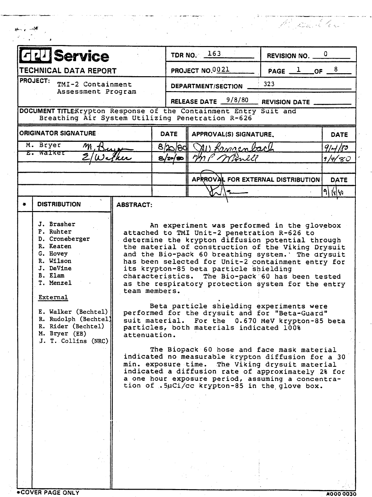| <b>Service</b><br>PROJECT NO.0021<br>TECHNICAL DATA REPORT<br>$PAGE \_l$ OF $\_$<br>PROJECT:<br>323<br>TMI-2 Containment<br><b>DEPARTMENT/SECTION</b><br>Assessment Program<br>RELEASE DATE 9/8/80<br><b>REVISION DATE</b><br>DOCUMENT TITLEKrypton Response of the Containment Entry Suit and<br>Breathing Air System Utilizing Penetration R-626<br><b>ORIGINATOR SIGNATURE</b><br><b>DATE</b><br>APPROVAL(S) SIGNATURE.<br>M. Bryer<br>$m_{\rm h}$<br>8/20/80<br>Mi Lemaenbach<br>E. Walker<br>$\overline{\mathcal{Z}}$<br>MP Month<br>8/20/80<br>'kır<br>APRROVAL FOR EXTERNAL DISTRIBUTION<br><b>DISTRIBUTION</b><br><b>ABSTRACT:</b><br>J. Brasher<br>An experiment was performed in the glovebox<br>P. Ruhter<br>attached to TMI Unit-2 penetration R-626 to<br>D. Croneberger<br>determine the krypton diffusion potential through<br>R. Keaten<br>the material of construction of the Viking Drysuit<br>G. Hovey<br>and the Bio-pack 60 breathing system.' The arysuit<br>R. Wilson<br>has been selected for Unit-2 containment entry for<br>J. DeVine<br>its krypton-85 beta particle shielding<br>B. Elam<br>characteristics. The Bio-pack 60 has been tested<br>T. Menzel<br>as the respiratory protection system for the entry<br>team members.<br>External<br>Beta particle shielding experiments were<br>E. Walker (Bechtel)<br>performed for the drysuit and for "Beta-Guard"<br>R. Rudolph (Bechtel)<br>suit material. For the 0.670 MeV krypton-85 beta<br>R. Rider (Bechtel)<br>particles, both materials indicated 100%<br>M. Bryer (EB)<br>attenuation.<br>J. T. Collins (NRC)<br>The Biopack 60 hose and face mask material<br>indicated no measurable krypton diffusion for a 30<br>min. exposure time. The Viking drysuit material<br>indicated a diffusion rate of approximately 2% for<br>a one hour exposure period, assuming a concentra-<br>tion of .5µCi/cc krypton-85 in the glove box. | TDR NO. $163$<br>REVISION NO. _ |             |  |  |  |
|------------------------------------------------------------------------------------------------------------------------------------------------------------------------------------------------------------------------------------------------------------------------------------------------------------------------------------------------------------------------------------------------------------------------------------------------------------------------------------------------------------------------------------------------------------------------------------------------------------------------------------------------------------------------------------------------------------------------------------------------------------------------------------------------------------------------------------------------------------------------------------------------------------------------------------------------------------------------------------------------------------------------------------------------------------------------------------------------------------------------------------------------------------------------------------------------------------------------------------------------------------------------------------------------------------------------------------------------------------------------------------------------------------------------------------------------------------------------------------------------------------------------------------------------------------------------------------------------------------------------------------------------------------------------------------------------------------------------------------------------------------------------------------------------------------------------------------------------------------------------------------------------------------------------|---------------------------------|-------------|--|--|--|
|                                                                                                                                                                                                                                                                                                                                                                                                                                                                                                                                                                                                                                                                                                                                                                                                                                                                                                                                                                                                                                                                                                                                                                                                                                                                                                                                                                                                                                                                                                                                                                                                                                                                                                                                                                                                                                                                                                                        |                                 | 8           |  |  |  |
|                                                                                                                                                                                                                                                                                                                                                                                                                                                                                                                                                                                                                                                                                                                                                                                                                                                                                                                                                                                                                                                                                                                                                                                                                                                                                                                                                                                                                                                                                                                                                                                                                                                                                                                                                                                                                                                                                                                        |                                 |             |  |  |  |
|                                                                                                                                                                                                                                                                                                                                                                                                                                                                                                                                                                                                                                                                                                                                                                                                                                                                                                                                                                                                                                                                                                                                                                                                                                                                                                                                                                                                                                                                                                                                                                                                                                                                                                                                                                                                                                                                                                                        |                                 |             |  |  |  |
|                                                                                                                                                                                                                                                                                                                                                                                                                                                                                                                                                                                                                                                                                                                                                                                                                                                                                                                                                                                                                                                                                                                                                                                                                                                                                                                                                                                                                                                                                                                                                                                                                                                                                                                                                                                                                                                                                                                        |                                 |             |  |  |  |
|                                                                                                                                                                                                                                                                                                                                                                                                                                                                                                                                                                                                                                                                                                                                                                                                                                                                                                                                                                                                                                                                                                                                                                                                                                                                                                                                                                                                                                                                                                                                                                                                                                                                                                                                                                                                                                                                                                                        |                                 | <b>DATE</b> |  |  |  |
|                                                                                                                                                                                                                                                                                                                                                                                                                                                                                                                                                                                                                                                                                                                                                                                                                                                                                                                                                                                                                                                                                                                                                                                                                                                                                                                                                                                                                                                                                                                                                                                                                                                                                                                                                                                                                                                                                                                        |                                 | 9/1/35      |  |  |  |
|                                                                                                                                                                                                                                                                                                                                                                                                                                                                                                                                                                                                                                                                                                                                                                                                                                                                                                                                                                                                                                                                                                                                                                                                                                                                                                                                                                                                                                                                                                                                                                                                                                                                                                                                                                                                                                                                                                                        |                                 | 9/4/80      |  |  |  |
|                                                                                                                                                                                                                                                                                                                                                                                                                                                                                                                                                                                                                                                                                                                                                                                                                                                                                                                                                                                                                                                                                                                                                                                                                                                                                                                                                                                                                                                                                                                                                                                                                                                                                                                                                                                                                                                                                                                        |                                 |             |  |  |  |
|                                                                                                                                                                                                                                                                                                                                                                                                                                                                                                                                                                                                                                                                                                                                                                                                                                                                                                                                                                                                                                                                                                                                                                                                                                                                                                                                                                                                                                                                                                                                                                                                                                                                                                                                                                                                                                                                                                                        |                                 | <b>DATE</b> |  |  |  |
|                                                                                                                                                                                                                                                                                                                                                                                                                                                                                                                                                                                                                                                                                                                                                                                                                                                                                                                                                                                                                                                                                                                                                                                                                                                                                                                                                                                                                                                                                                                                                                                                                                                                                                                                                                                                                                                                                                                        |                                 | 9 1440      |  |  |  |
|                                                                                                                                                                                                                                                                                                                                                                                                                                                                                                                                                                                                                                                                                                                                                                                                                                                                                                                                                                                                                                                                                                                                                                                                                                                                                                                                                                                                                                                                                                                                                                                                                                                                                                                                                                                                                                                                                                                        |                                 |             |  |  |  |
|                                                                                                                                                                                                                                                                                                                                                                                                                                                                                                                                                                                                                                                                                                                                                                                                                                                                                                                                                                                                                                                                                                                                                                                                                                                                                                                                                                                                                                                                                                                                                                                                                                                                                                                                                                                                                                                                                                                        |                                 |             |  |  |  |
|                                                                                                                                                                                                                                                                                                                                                                                                                                                                                                                                                                                                                                                                                                                                                                                                                                                                                                                                                                                                                                                                                                                                                                                                                                                                                                                                                                                                                                                                                                                                                                                                                                                                                                                                                                                                                                                                                                                        |                                 |             |  |  |  |
|                                                                                                                                                                                                                                                                                                                                                                                                                                                                                                                                                                                                                                                                                                                                                                                                                                                                                                                                                                                                                                                                                                                                                                                                                                                                                                                                                                                                                                                                                                                                                                                                                                                                                                                                                                                                                                                                                                                        |                                 |             |  |  |  |
|                                                                                                                                                                                                                                                                                                                                                                                                                                                                                                                                                                                                                                                                                                                                                                                                                                                                                                                                                                                                                                                                                                                                                                                                                                                                                                                                                                                                                                                                                                                                                                                                                                                                                                                                                                                                                                                                                                                        |                                 |             |  |  |  |
|                                                                                                                                                                                                                                                                                                                                                                                                                                                                                                                                                                                                                                                                                                                                                                                                                                                                                                                                                                                                                                                                                                                                                                                                                                                                                                                                                                                                                                                                                                                                                                                                                                                                                                                                                                                                                                                                                                                        |                                 |             |  |  |  |

\*COVER PAGE ONLY **1** 2000 0030

-~~ .. -.\_-,",.- ----

 $\mathbf{R}_{n}$  , and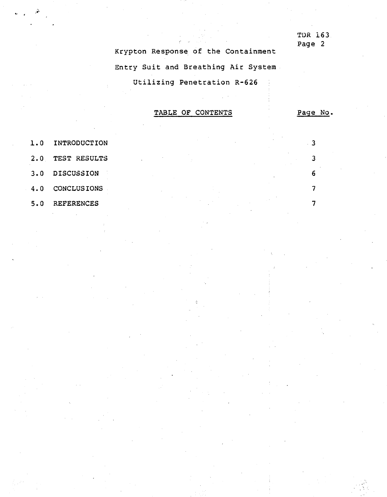TDR 163 Page 2

Krypton Response of the Containment Entry Suit and Breathing Air System Utilizing Penetration R-626

TABLE OF CONTENTS

Page No.

3

3

6

7

7

,..:'.' ..

- 1.0 INTRODUCTION
- 2.0 TEST RESULTS
- 3.0 DISCUSSION
- 4.0 CONCLUSIONS
- 5.0 REFERENCES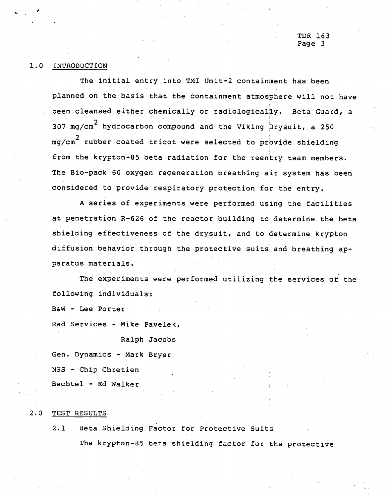## 1.0 INTRODUCTION

The initial entry into TMI Unit-2 containment has been planned on the basis that the containment atmosphere will not have been cleansed either chemically or radiologically. Beta Guard, a 307 mg/cm $^{\rm 2}$  hydrocarbon compound and the Viking Drysuit, a 250 mg/cm $^{\rm 2}$  rubber coated tricot were selected to provide shieldin from the krypton-85 beta radiation for the reentry team members. The Bio-pack 60 oxygen regeneration breathing air system has been considered to provide respiratory protection for the entry.

A series of experiments were performed using the facilities at penetration R-626 of the reactor building to determine the beta shielding effectiveness of the drysuit, and to determine krypton diffusion behavior through the protective suits and breathing apparatus materials.

- The experiments were performed utilizing the services of the following individuals:

B&W - Lee Porter

Rad Services - Mike Pavelek,

Ralph Jacobs

Gen. Dynamics - Mark Bryer NSS - Chip Chretien Bechtel - Ed Walker

#### 2.0 TEST RESULTS,

2.1 Beta Shielding Factor for Protective Suits The krypton-8S beta shielding factor for the protective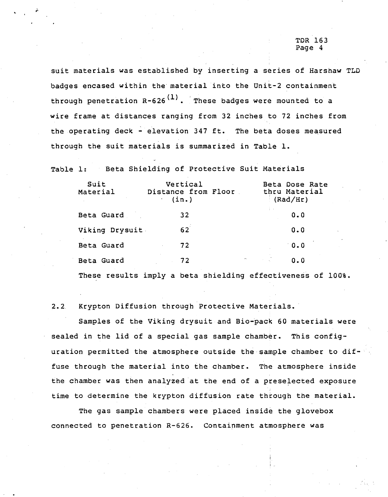## 'l'DR163 Page 4

suit materials was established by inserting a series of Harshaw TLD badges encased within the material into the Unit-2 containment through penetration  $R - 626$ <sup>(1)</sup>. These badges were mounted to a wire frame at distances ranging from 32 inches to 72 inches from the operating deck - elevation 347 ft. The beta doses measured through the suit materials is summarized in Table 1.

Table 1: Beta Shielding of Protective Suit Materials

| Suit<br>Material | Vertical<br>Distance from Floor<br>(in.) | Beta Dose Rate<br>thru Material<br>(Rad/Hr)    |
|------------------|------------------------------------------|------------------------------------------------|
| Beta Guard       | 32                                       | 0.0                                            |
| Viking Drysuit   | 62                                       | 0.0                                            |
| Beta Guard       | 72                                       | 0.0                                            |
| Beta Guard       | 72                                       | $\mathcal{A}^{\text{max}}_{\text{max}}$<br>0.0 |
|                  |                                          |                                                |

These results imply a beta shielding effectiveness of 100%.

2.2 Krypton Diffusion through Protective Materials.

Samples of the Viking drysuit and Bio-pack 60 materials were sealed in the lid of a special gas sample chamber. This configuration permitted the atmosphere outside the sample chamber to diffuse through the material into the chamber. The atmosphere inside the chamber was then analyzed at the end of a preselected exposure time to determine the krypton diffusion rate through the material.

The gas sample chambers were placed inside the glovebox connected to penetration R-626. Containment atmosphere was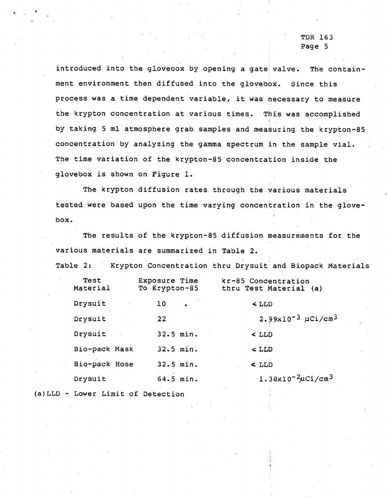TDR 163 Page 5

introduced into the gloveoox by opening a gate valve. The containment environment then diffused into the glovebox. Since this process was a time dependent variable, it was necessary to measure the krypton concentration at various times. This was accomplished by taking 5 ml atmosphere grab samples and measuring the krypton-8s concentration by analyzing the gamma spectrum in the sample vial. The time variation of the krypton-8s concentration inside the glovebox is shown on Figure 1.

The krypton diffusion rates through the various materials tested were based upon the time varying concentration in the glovebox.

The results of the krypton-8s diffusion measurements for. the various materials are summarized in Table 2.

Table 2: Krypton Concentration thru Drysuit and Biopack Materials

| Test<br>Material | Exposure Time<br>To Krypton-85 | kr-85 Concentration<br>thru Test Material (a) |
|------------------|--------------------------------|-----------------------------------------------|
| Drysuit          | 10<br>$\sim 10^{-10}$          | $<$ LLD                                       |
| Drysuit          | 22                             | $2.99x10^{-3}$ $\mu$ Ci/cm <sup>3</sup>       |
| Drysuit          | $32.5$ min.                    | $>$ LLD                                       |
| Bio-pack Mask    | 32.5 min.                      | $\sim$ LLD                                    |
| Bio-pack Hose    | $32.5$ min.                    | $<$ LLD                                       |
| Drysuit          | $64.5$ min.                    | $1.38x10^{-2}\mu$ Ci/cm <sup>3</sup>          |
|                  |                                |                                               |

(a)LLD - Lower Limit of Detection

 $\cdot$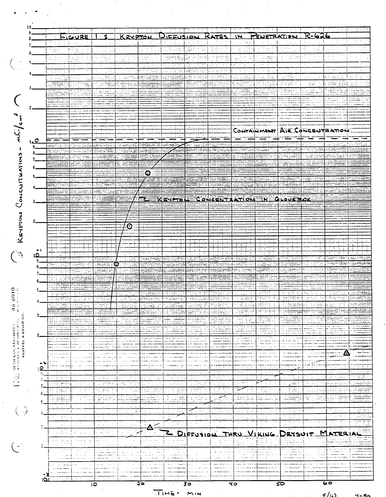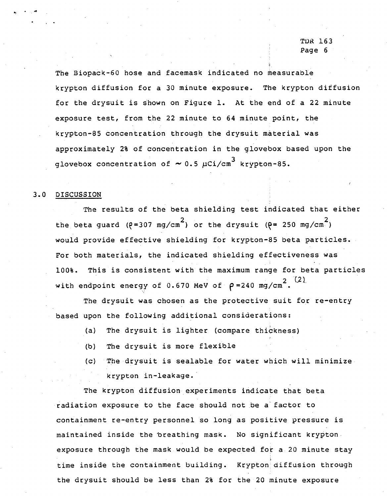# **TDR 163** Page 6

The Biopack-60 hose and facemask indicated no measurable krypton diffusion for a 30 minute exposure. The krypton diffusion for the drysuit is shown on Figure 1. At the end of a 22 minute exposure test, from the 22 minute to 64 minute point, the krypton-85 concentration through the drysuit material was approximately 2% of concentration in the glovebox based upon the glovebox concentration of  $\sim$  0.5  $\mu$ Ci/cm $^3$  krypton-85

## 3.0 DISCUSSION

..

The results of the beta shielding test indicated that either the beta guard ( $e = 307$  mg/cm<sup>2</sup>) or the drysuit ( $e = 250$  mg/cm<sup>2</sup>) would provide effective shielding for krypton-85 beta particles. For both materials, the indicated shielding effectiveness was with endpoint energy of 0.670 MeV of 100%. This is consistent with the maximum range for beta particles (21  $\rho = 240$  mg/cm<sup>2</sup>.  $(2)$ 

The drysuit was chosen as the protective suit for re-entry based upon the following additional considerations:

- (a) The drysuit is lighter (compare thickness)
- (b) The drysuit is more flexible
- (c) The dtysuit is sealable for water which will minimize krypt0n in-leakage.'

The krypton diffusion experiments indicate that beta radiation exposure to the face should not be a" factor to containment re-entry personnel so long as positive pressure is maintained inside the breathing mask. No significant krypton. exposure through the mask would be expected for a 20 minute stay time inside the containment building. Krypton diffusion through the drysuit should be less than 2% for the 20 minute exposure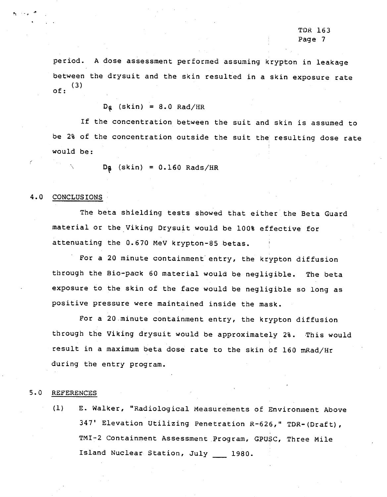period. A dose assessment performed assuming krypton in leakage between the drysuit and the skin resulted in a skin exposure rate  $(3)$ of:

 $D_{\mathbf{g}}$  (skin) = 8.0 Rad/HR

If the concentration between the suit and skin *is* assumed to be 2% of the concentration outside the suit the resulting dose rate would be:

 $Dg$  (skin) =  $0.160$  Rads/HR

## 4.0 CONCLUSIONS

(

The beta shielding tests showed that either the Beta Guard material or the Viking Drysuit would be 100% effective for attenuating the 0.670 MeV krypton-8S betas.

For a 20 minute containment' entry, the krypton diffusion through the Bio-pack 60 material would be negligible. The beta exposure to the skin of the face would be negligible so long as positive pressure were maintained inside the mask.

For a 20.minute containment entry, the krypton diffusion through the Viking drysuit would be approximately 2%. This would result in a maximum beta dose rate to the skin of 160 mRad/Hr during the entry program.

#### 5.0 REFERENCES

(1) E. Walker, "Radiological Measurements of Environment Above 347' Elevation Utilizing Penetration R-626," TDR-{Draft), TMI-2 Containment Assessment Program, GPUSC, Three Mile Island Nuclear Station, July 1980.